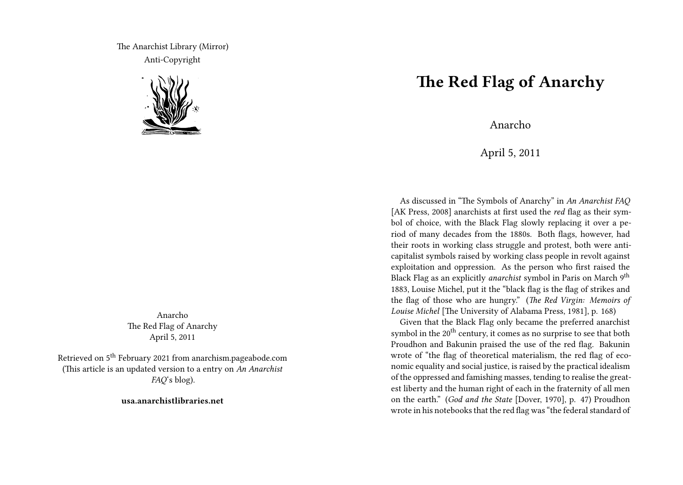The Anarchist Library (Mirror) Anti-Copyright



Anarcho The Red Flag of Anarchy April 5, 2011

Retrieved on 5th February 2021 from anarchism.pageabode.com (This article is an updated version to a entry on *An Anarchist FAQ*'s blog).

**usa.anarchistlibraries.net**

## **The Red Flag of Anarchy**

Anarcho

April 5, 2011

As discussed in "The Symbols of Anarchy" in *An Anarchist FAQ* [AK Press, 2008] anarchists at first used the *red* flag as their symbol of choice, with the Black Flag slowly replacing it over a period of many decades from the 1880s. Both flags, however, had their roots in working class struggle and protest, both were anticapitalist symbols raised by working class people in revolt against exploitation and oppression. As the person who first raised the Black Flag as an explicitly *anarchist* symbol in Paris on March 9th 1883, Louise Michel, put it the "black flag is the flag of strikes and the flag of those who are hungry." (*The Red Virgin: Memoirs of Louise Michel* [The University of Alabama Press, 1981], p. 168)

Given that the Black Flag only became the preferred anarchist symbol in the  $20<sup>th</sup>$  century, it comes as no surprise to see that both Proudhon and Bakunin praised the use of the red flag. Bakunin wrote of "the flag of theoretical materialism, the red flag of economic equality and social justice, is raised by the practical idealism of the oppressed and famishing masses, tending to realise the greatest liberty and the human right of each in the fraternity of all men on the earth." (*God and the State* [Dover, 1970], p. 47) Proudhon wrote in his notebooks that the red flag was "the federal standard of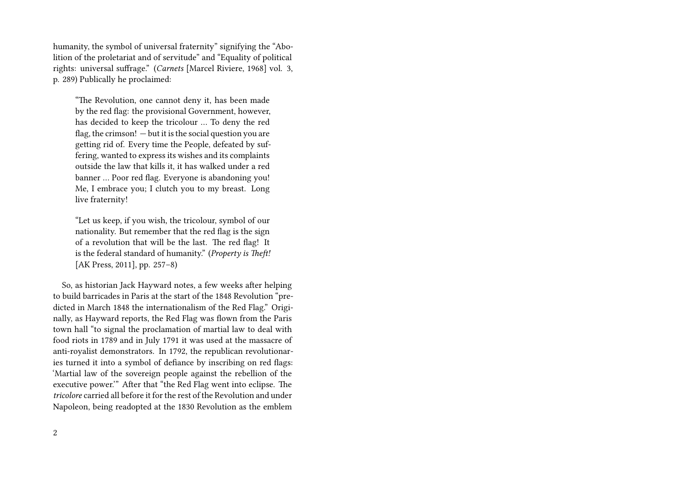humanity, the symbol of universal fraternity" signifying the "Abolition of the proletariat and of servitude" and "Equality of political rights: universal suffrage." (*Carnets* [Marcel Riviere, 1968] vol. 3, p. 289) Publically he proclaimed:

"The Revolution, one cannot deny it, has been made by the red flag: the provisional Government, however, has decided to keep the tricolour … To deny the red flag, the crimson!  $-$  but it is the social question you are getting rid of. Every time the People, defeated by suffering, wanted to express its wishes and its complaints outside the law that kills it, it has walked under a red banner … Poor red flag. Everyone is abandoning you! Me, I embrace you; I clutch you to my breast. Long live fraternity!

"Let us keep, if you wish, the tricolour, symbol of our nationality. But remember that the red flag is the sign of a revolution that will be the last. The red flag! It is the federal standard of humanity." (*Property is Theft!* [AK Press, 2011], pp. 257–8)

So, as historian Jack Hayward notes, a few weeks after helping to build barricades in Paris at the start of the 1848 Revolution "predicted in March 1848 the internationalism of the Red Flag." Originally, as Hayward reports, the Red Flag was flown from the Paris town hall "to signal the proclamation of martial law to deal with food riots in 1789 and in July 1791 it was used at the massacre of anti-royalist demonstrators. In 1792, the republican revolutionaries turned it into a symbol of defiance by inscribing on red flags: 'Martial law of the sovereign people against the rebellion of the executive power.'" After that "the Red Flag went into eclipse. The *tricolore* carried all before it for the rest of the Revolution and under Napoleon, being readopted at the 1830 Revolution as the emblem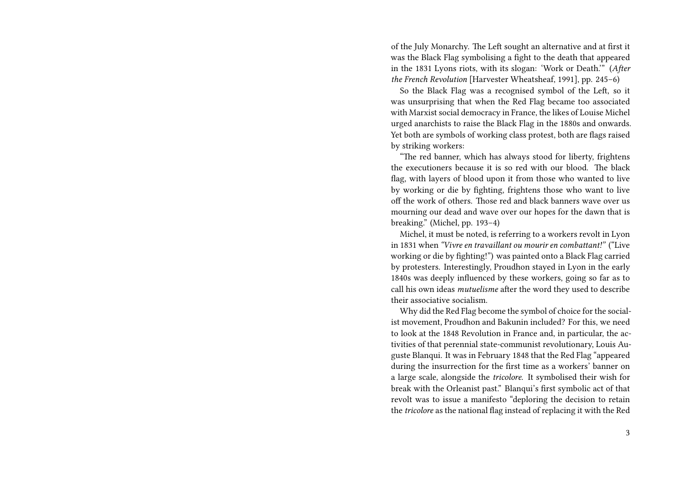of the July Monarchy. The Left sought an alternative and at first it was the Black Flag symbolising a fight to the death that appeared in the 1831 Lyons riots, with its slogan: 'Work or Death.'" (*After the French Revolution* [Harvester Wheatsheaf, 1991], pp. 245–6)

So the Black Flag was a recognised symbol of the Left, so it was unsurprising that when the Red Flag became too associated with Marxist social democracy in France, the likes of Louise Michel urged anarchists to raise the Black Flag in the 1880s and onwards. Yet both are symbols of working class protest, both are flags raised by striking workers:

"The red banner, which has always stood for liberty, frightens the executioners because it is so red with our blood. The black flag, with layers of blood upon it from those who wanted to live by working or die by fighting, frightens those who want to live off the work of others. Those red and black banners wave over us mourning our dead and wave over our hopes for the dawn that is breaking." (Michel, pp. 193–4)

Michel, it must be noted, is referring to a workers revolt in Lyon in 1831 when *"Vivre en travaillant ou mourir en combattant!"* ("Live working or die by fighting!") was painted onto a Black Flag carried by protesters. Interestingly, Proudhon stayed in Lyon in the early 1840s was deeply influenced by these workers, going so far as to call his own ideas *mutuelisme* after the word they used to describe their associative socialism.

Why did the Red Flag become the symbol of choice for the socialist movement, Proudhon and Bakunin included? For this, we need to look at the 1848 Revolution in France and, in particular, the activities of that perennial state-communist revolutionary, Louis Auguste Blanqui. It was in February 1848 that the Red Flag "appeared during the insurrection for the first time as a workers' banner on a large scale, alongside the *tricolore*. It symbolised their wish for break with the Orleanist past." Blanqui's first symbolic act of that revolt was to issue a manifesto "deploring the decision to retain the *tricolore* as the national flag instead of replacing it with the Red